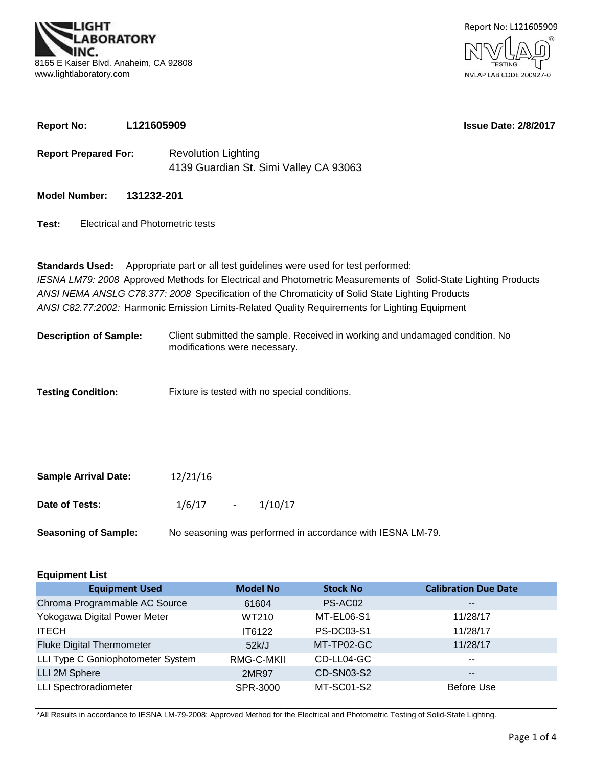**BORATORY** 8165 E Kaiser Blvd. Anaheim, CA 92808 www.lightlaboratory.com

**Report No: L121605909**



# **Test: Model Number: Report Prepared For:** Revolution Lighting **131232-201** 4139 Guardian St. Simi Valley CA 93063 Electrical and Photometric tests **Standards Used:** Appropriate part or all test guidelines were used for test performed: *IESNA LM79: 2008* Approved Methods for Electrical and Photometric Measurements of Solid-State Lighting Products *ANSI NEMA ANSLG C78.377: 2008* Specification of the Chromaticity of Solid State Lighting Products *ANSI C82.77:2002:* Harmonic Emission Limits-Related Quality Requirements for Lighting Equipment

**Description of Sample:** Client submitted the sample. Received in working and undamaged condition. No modifications were necessary.

**Testing Condition:** Fixture is tested with no special conditions.

| <b>Sample Arrival Date:</b> | 12/21/16   |                                                            |  |
|-----------------------------|------------|------------------------------------------------------------|--|
| Date of Tests:              | $1/6/17$ - | 1/10/17                                                    |  |
| <b>Seasoning of Sample:</b> |            | No seasoning was performed in accordance with IESNA LM-79. |  |

| <b>Equipment List</b>             |                 |                   |                             |  |  |  |  |  |  |  |
|-----------------------------------|-----------------|-------------------|-----------------------------|--|--|--|--|--|--|--|
| <b>Equipment Used</b>             | <b>Model No</b> | <b>Stock No</b>   | <b>Calibration Due Date</b> |  |  |  |  |  |  |  |
| Chroma Programmable AC Source     | 61604           | PS-AC02           | $\overline{\phantom{m}}$    |  |  |  |  |  |  |  |
| Yokogawa Digital Power Meter      | WT210           | MT-EL06-S1        | 11/28/17                    |  |  |  |  |  |  |  |
| <b>ITECH</b>                      | IT6122          | <b>PS-DC03-S1</b> | 11/28/17                    |  |  |  |  |  |  |  |
| <b>Fluke Digital Thermometer</b>  | 52k/J           | MT-TP02-GC        | 11/28/17                    |  |  |  |  |  |  |  |
| LLI Type C Goniophotometer System | RMG-C-MKII      | CD-LL04-GC        | $- -$                       |  |  |  |  |  |  |  |
| LLI 2M Sphere                     | 2MR97           | CD-SN03-S2        | $\overline{\phantom{m}}$    |  |  |  |  |  |  |  |
| <b>LLI Spectroradiometer</b>      | SPR-3000        | MT-SC01-S2        | Before Use                  |  |  |  |  |  |  |  |

\*All Results in accordance to IESNA LM-79-2008: Approved Method for the Electrical and Photometric Testing of Solid-State Lighting.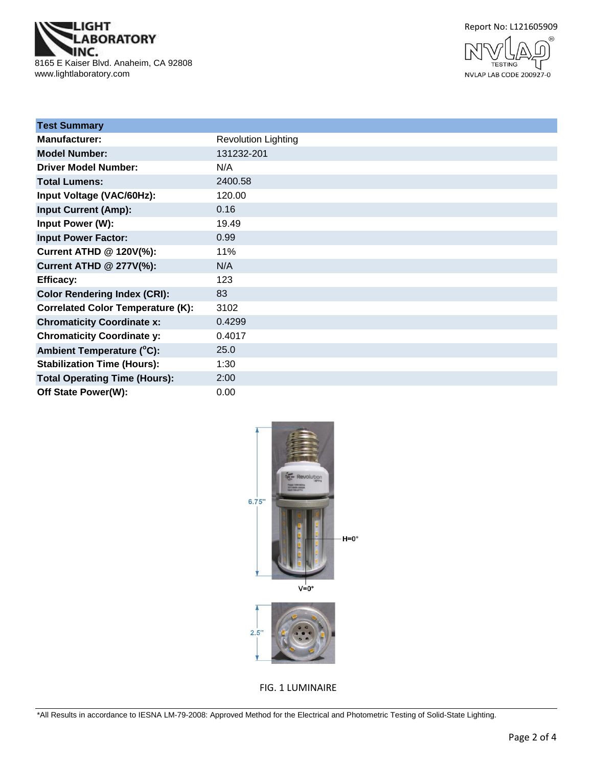

Report No: L121605909



| <b>Test Summary</b>                      |                            |
|------------------------------------------|----------------------------|
| <b>Manufacturer:</b>                     | <b>Revolution Lighting</b> |
| <b>Model Number:</b>                     | 131232-201                 |
| <b>Driver Model Number:</b>              | N/A                        |
| <b>Total Lumens:</b>                     | 2400.58                    |
| Input Voltage (VAC/60Hz):                | 120.00                     |
| <b>Input Current (Amp):</b>              | 0.16                       |
| Input Power (W):                         | 19.49                      |
| <b>Input Power Factor:</b>               | 0.99                       |
| Current ATHD @ 120V(%):                  | 11%                        |
| <b>Current ATHD @ 277V(%):</b>           | N/A                        |
| <b>Efficacy:</b>                         | 123                        |
| <b>Color Rendering Index (CRI):</b>      | 83                         |
| <b>Correlated Color Temperature (K):</b> | 3102                       |
| <b>Chromaticity Coordinate x:</b>        | 0.4299                     |
| <b>Chromaticity Coordinate y:</b>        | 0.4017                     |
| Ambient Temperature (°C):                | 25.0                       |
| <b>Stabilization Time (Hours):</b>       | 1:30                       |
| <b>Total Operating Time (Hours):</b>     | 2:00                       |
| Off State Power(W):                      | 0.00                       |



FIG. 1 LUMINAIRE

\*All Results in accordance to IESNA LM-79-2008: Approved Method for the Electrical and Photometric Testing of Solid-State Lighting.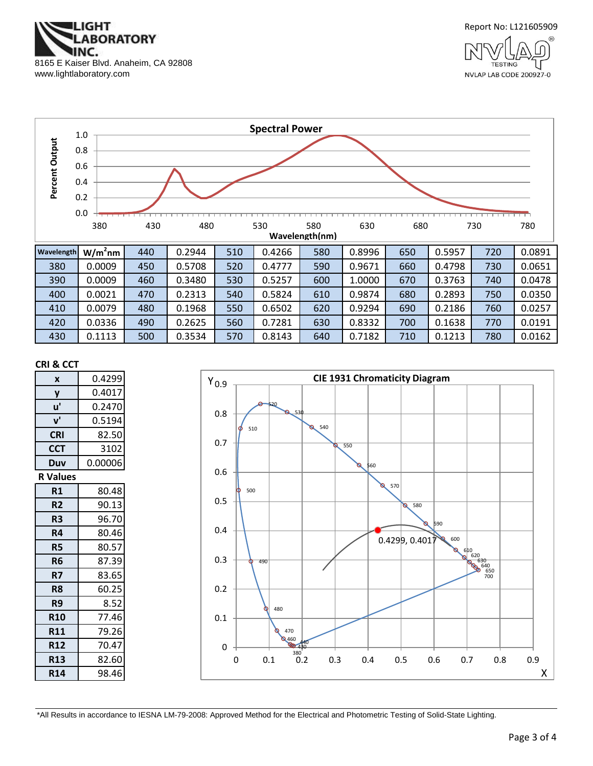



**TESTING** NVLAP LAB CODE 200927-0



#### **CRI & CCT**

| X               | 0.4299  |  |  |  |
|-----------------|---------|--|--|--|
| y               | 0.4017  |  |  |  |
| u'              | 0.2470  |  |  |  |
| ${\bf v}'$      | 0.5194  |  |  |  |
| <b>CRI</b>      | 82.50   |  |  |  |
| <b>CCT</b>      | 3102    |  |  |  |
| Duv             | 0.00006 |  |  |  |
| R Values        |         |  |  |  |
| R1              | 80.48   |  |  |  |
| R <sub>2</sub>  | 90.13   |  |  |  |
| R3              | 96.70   |  |  |  |
| R4              | 80.46   |  |  |  |
| R <sub>5</sub>  | 80.57   |  |  |  |
| R6              | 87.39   |  |  |  |
| R7              | 83.65   |  |  |  |
| R8              | 60.25   |  |  |  |
| R9              | 8.52    |  |  |  |
| <b>R10</b>      | 77.46   |  |  |  |
| <b>R11</b>      | 79.26   |  |  |  |
| <b>R12</b>      | 70.47   |  |  |  |
| R <sub>13</sub> | 82.60   |  |  |  |
| <b>R14</b>      | 98.46   |  |  |  |



\*All Results in accordance to IESNA LM-79-2008: Approved Method for the Electrical and Photometric Testing of Solid-State Lighting.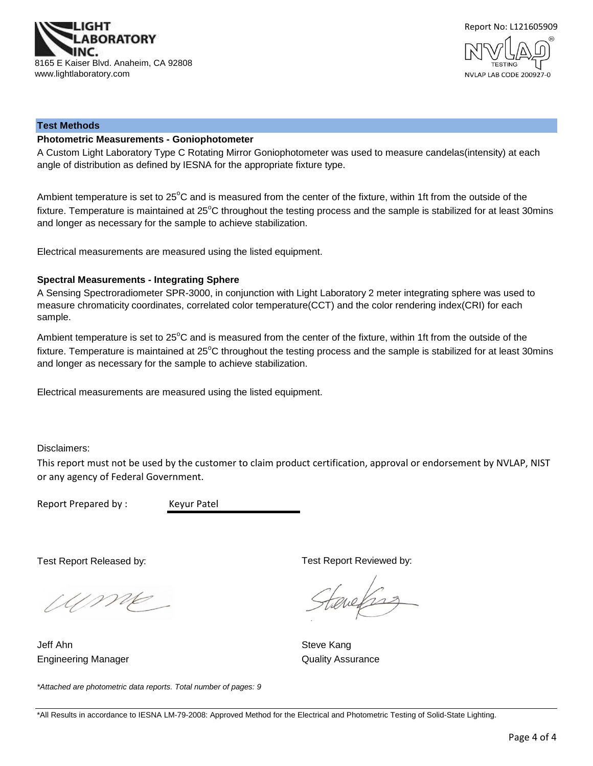



#### **Test Methods**

#### **Photometric Measurements - Goniophotometer**

A Custom Light Laboratory Type C Rotating Mirror Goniophotometer was used to measure candelas(intensity) at each angle of distribution as defined by IESNA for the appropriate fixture type.

Ambient temperature is set to 25°C and is measured from the center of the fixture, within 1ft from the outside of the fixture. Temperature is maintained at  $25^{\circ}$ C throughout the testing process and the sample is stabilized for at least 30mins and longer as necessary for the sample to achieve stabilization.

Electrical measurements are measured using the listed equipment.

#### **Spectral Measurements - Integrating Sphere**

A Sensing Spectroradiometer SPR-3000, in conjunction with Light Laboratory 2 meter integrating sphere was used to measure chromaticity coordinates, correlated color temperature(CCT) and the color rendering index(CRI) for each sample.

Ambient temperature is set to 25°C and is measured from the center of the fixture, within 1ft from the outside of the fixture. Temperature is maintained at  $25^{\circ}$ C throughout the testing process and the sample is stabilized for at least 30mins and longer as necessary for the sample to achieve stabilization.

Electrical measurements are measured using the listed equipment.

Disclaimers:

This report must not be used by the customer to claim product certification, approval or endorsement by NVLAP, NIST or any agency of Federal Government.

Report Prepared by : Keyur Patel

Test Report Released by:

Ump

*\*Attached are photometric data reports. Total number of pages: 9*

Engineering Manager **Contract Contract Contract Contract Contract Contract Contract Contract Contract Contract Contract Contract Contract Contract Contract Contract Contract Contract Contract Contract Contract Contract Con** Jeff Ahn Steve Kang

Test Report Reviewed by:

evelses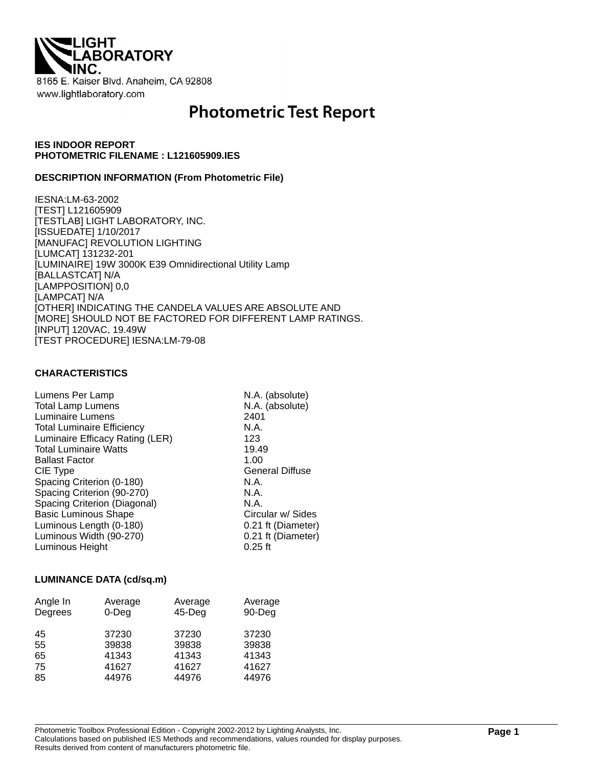

# **Photometric Test Report**

# **IES INDOOR REPORT PHOTOMETRIC FILENAME : L121605909.IES**

### **DESCRIPTION INFORMATION (From Photometric File)**

IESNA:LM-63-2002 [TEST] L121605909 [TESTLAB] LIGHT LABORATORY, INC. [ISSUEDATE] 1/10/2017 [MANUFAC] REVOLUTION LIGHTING [LUMCAT] 131232-201 [LUMINAIRE] 19W 3000K E39 Omnidirectional Utility Lamp [BALLASTCAT] N/A [LAMPPOSITION] 0,0 [LAMPCAT] N/A [OTHER] INDICATING THE CANDELA VALUES ARE ABSOLUTE AND [MORE] SHOULD NOT BE FACTORED FOR DIFFERENT LAMP RATINGS. [INPUT] 120VAC, 19.49W [TEST PROCEDURE] IESNA:LM-79-08

# **CHARACTERISTICS**

| Lumens Per Lamp                   | N.A. (absolute)        |
|-----------------------------------|------------------------|
| <b>Total Lamp Lumens</b>          | N.A. (absolute)        |
| Luminaire Lumens                  | 2401                   |
| <b>Total Luminaire Efficiency</b> | N.A.                   |
| Luminaire Efficacy Rating (LER)   | 123                    |
| <b>Total Luminaire Watts</b>      | 19.49                  |
| <b>Ballast Factor</b>             | 1.00                   |
| CIE Type                          | <b>General Diffuse</b> |
| Spacing Criterion (0-180)         | N.A.                   |
| Spacing Criterion (90-270)        | N.A.                   |
| Spacing Criterion (Diagonal)      | N.A.                   |
| <b>Basic Luminous Shape</b>       | Circular w/ Sides      |
| Luminous Length (0-180)           | 0.21 ft (Diameter)     |
| Luminous Width (90-270)           | 0.21 ft (Diameter)     |
| Luminous Height                   | $0.25$ ft              |

#### **LUMINANCE DATA (cd/sq.m)**

| Angle In<br>Degrees | Average<br>$0$ -Deg | Average<br>$45$ -Deg | Average<br>90-Deg |
|---------------------|---------------------|----------------------|-------------------|
| 45<br>55            | 37230<br>39838      | 37230<br>39838       | 37230<br>39838    |
| 65                  | 41343               | 41343                | 41343             |
| 75                  | 41627               | 41627                | 41627             |
| 85                  | 44976               | 44976                | 44976             |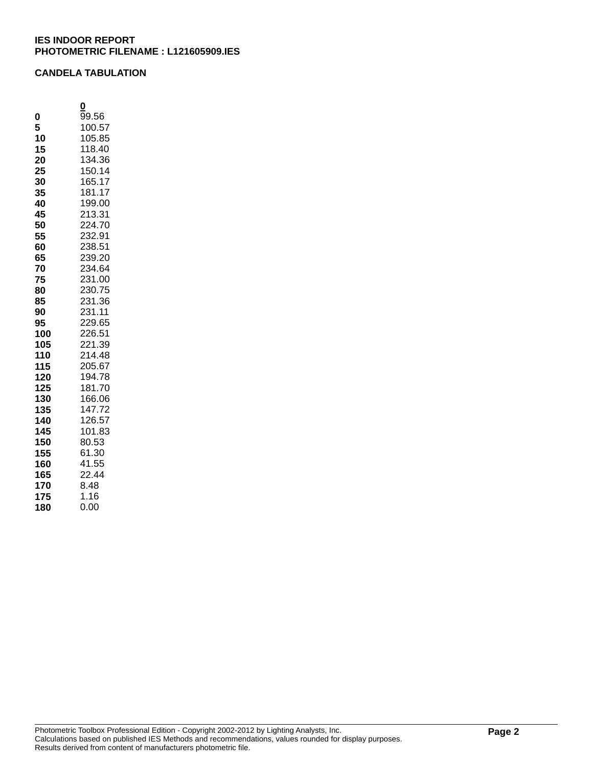# **CANDELA TABULATION**

|     | 0      |
|-----|--------|
| 0   | 99.56  |
| 5   | 100.57 |
| 10  | 105.85 |
| 15  | 118.40 |
| 20  | 134.36 |
| 25  | 150.14 |
| 30  | 165.17 |
| 35  | 181.17 |
| 40  | 199.00 |
| 45  | 213.31 |
| 50  | 224.70 |
| 55  | 232.91 |
| 60  | 238.51 |
| 65  | 239.20 |
| 70  | 234.64 |
| 75  | 231.00 |
| 80  | 230.75 |
| 85  | 231.36 |
| 90  | 231.11 |
| 95  | 229.65 |
| 100 | 226.51 |
| 105 | 221.39 |
| 110 | 214.48 |
| 115 | 205.67 |
| 120 | 194.78 |
| 125 | 181.70 |
| 130 | 166.06 |
| 135 | 147.72 |
| 140 | 126.57 |
| 145 | 101.83 |
| 150 | 80.53  |
| 155 | 61.30  |
| 160 | 41.55  |
| 165 | 22.44  |
| 170 | 8.48   |
| 175 | 1.16   |
| 180 | 0.00   |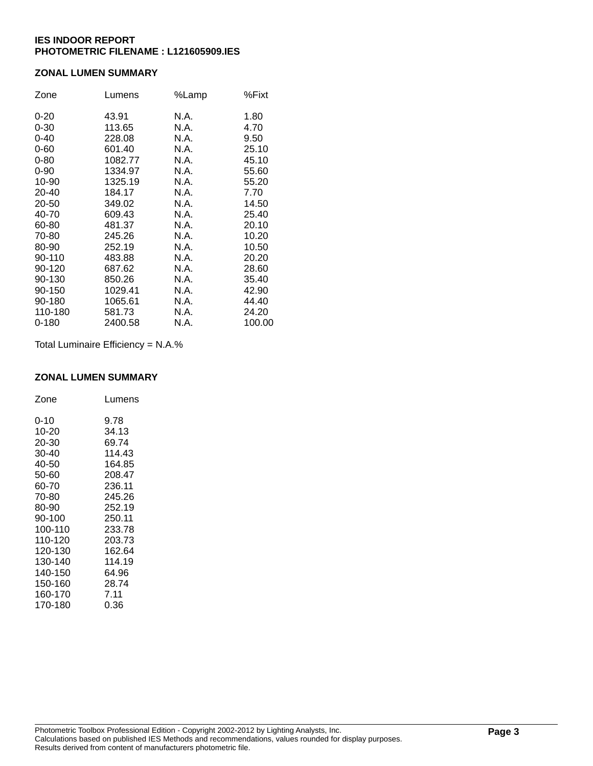# **ZONAL LUMEN SUMMARY**

| Zone      | Lumens  | %Lamp | %Fixt  |
|-----------|---------|-------|--------|
| $0 - 20$  | 43.91   | N.A.  | 1.80   |
| $0 - 30$  | 113.65  | N.A.  | 4.70   |
| $0 - 40$  | 228.08  | N.A.  | 9.50   |
| $0 - 60$  | 601.40  | N.A.  | 25.10  |
| $0 - 80$  | 1082.77 | N.A.  | 45.10  |
| $0 - 90$  | 1334.97 | N.A.  | 55.60  |
| 10-90     | 1325.19 | N.A.  | 55.20  |
| 20-40     | 184.17  | N.A.  | 7.70   |
| 20-50     | 349.02  | N.A.  | 14.50  |
| 40-70     | 609.43  | N.A.  | 25.40  |
| 60-80     | 481.37  | N.A.  | 20.10  |
| 70-80     | 245.26  | N.A.  | 10.20  |
| 80-90     | 252.19  | N.A.  | 10.50  |
| 90-110    | 483.88  | N.A.  | 20.20  |
| 90-120    | 687.62  | N.A.  | 28.60  |
| 90-130    | 850.26  | N.A.  | 35.40  |
| 90-150    | 1029.41 | N.A.  | 42.90  |
| 90-180    | 1065.61 | N.A.  | 44.40  |
| 110-180   | 581.73  | N.A.  | 24.20  |
| $0 - 180$ | 2400.58 | N.A.  | 100.00 |

Total Luminaire Efficiency = N.A.%

## **ZONAL LUMEN SUMMARY**

| Zone     | Lumens |
|----------|--------|
| $0 - 10$ | 9.78   |
| 10-20    | 34.13  |
| 20-30    | 69.74  |
| 30-40    | 114.43 |
| 40-50    | 164.85 |
| 50-60    | 208.47 |
| 60-70    | 236.11 |
| 70-80    | 245.26 |
| 80-90    | 252.19 |
| 90-100   | 250.11 |
| 100-110  | 233.78 |
| 110-120  | 203.73 |
| 120-130  | 162.64 |
| 130-140  | 114.19 |
| 140-150  | 64.96  |
| 150-160  | 28.74  |
| 160-170  | 7.11   |
| 170-180  | 0.36   |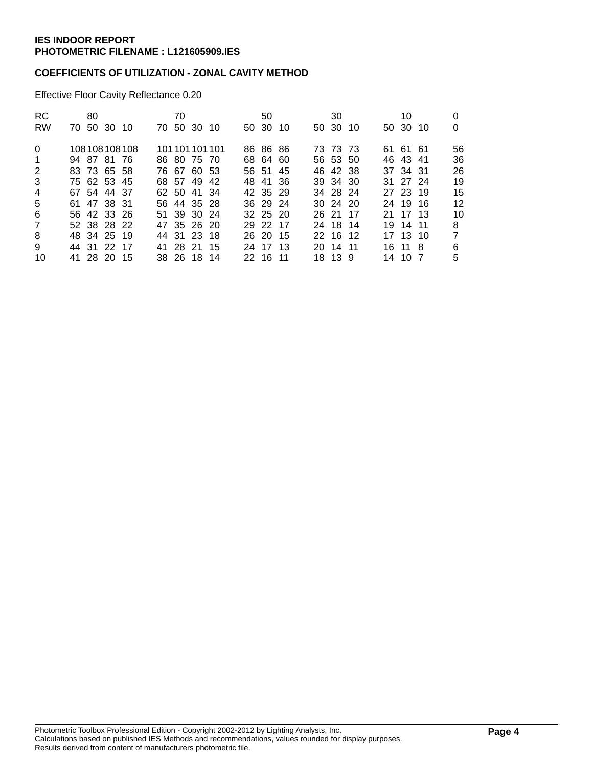# **COEFFICIENTS OF UTILIZATION - ZONAL CAVITY METHOD**

Effective Floor Cavity Reflectance 0.20

| RC.<br><b>RW</b> | 80 | 70 50 30 10 |              | 70 | 70 50 30 10 |                 | 50<br>50 30 10 |  | 30<br>50 30 10 |  | 10<br>50 30 10 | 0              |
|------------------|----|-------------|--------------|----|-------------|-----------------|----------------|--|----------------|--|----------------|----------------|
| $\Omega$         |    |             | 108108108108 |    |             | 101 101 101 101 | 86 86 86       |  | 73 73 73       |  | 61 61 61       | 56             |
| $\mathbf{1}$     |    | 94 87 81 76 |              |    | 86 80 75 70 |                 | 68 64 60       |  | 56 53 50       |  | 46 43 41       | 36             |
| 2                |    | 83 73 65 58 |              |    | 76 67 60 53 |                 | 56 51 45       |  | 46 42 38       |  | 37 34 31       | 26             |
| 3                |    | 75 62 53 45 |              |    | 68 57 49 42 |                 | 48 41 36       |  | 39 34 30       |  | 31 27 24       | 19             |
| 4                |    | 67 54 44 37 |              |    | 62 50 41 34 |                 | 42 35 29       |  | 34 28 24       |  | 27 23 19       | 15             |
| 5                |    | 61 47 38 31 |              |    | 56 44 35 28 |                 | 36 29 24       |  | $30\,24\,20$   |  | 24 19 16       | 12             |
| 6                |    | 56 42 33 26 |              |    | 51 39 30 24 |                 | 32 25 20       |  | 26 21 17       |  | 21 17 13       | 10             |
| $\overline{7}$   |    | 52 38 28 22 |              |    | 47 35 26 20 |                 | 29 22 17       |  | 24 18 14       |  | 19 14 11       | 8              |
| 8                |    | 48 34 25 19 |              |    | 44 31 23 18 |                 | 26 20 15       |  | 22 16 12       |  | 17 13 10       | $\overline{7}$ |
| 9                |    | 44 31 22 17 |              |    | 41 28 21 15 |                 | 24 17 13       |  | 20 14 11       |  | 16 11 8        | 6              |
| 10               |    | 41 28 20 15 |              |    | 38 26 18 14 |                 | 22 16 11       |  | 18 13 9        |  | 14 10 7        | 5              |